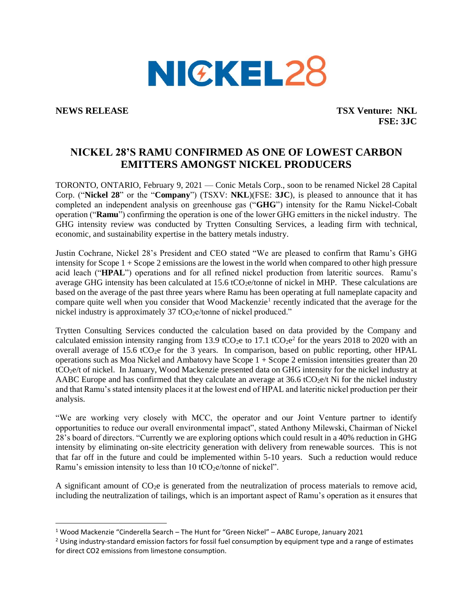

**NEWS RELEASE TSX Venture: NKL FSE: 3JC**

## **NICKEL 28'S RAMU CONFIRMED AS ONE OF LOWEST CARBON EMITTERS AMONGST NICKEL PRODUCERS**

TORONTO, ONTARIO, February 9, 2021 — Conic Metals Corp., soon to be renamed Nickel 28 Capital Corp. ("**Nickel 28**" or the "**Company**") (TSXV: **NKL**)(FSE: **3JC**), is pleased to announce that it has completed an independent analysis on greenhouse gas ("**GHG**") intensity for the Ramu Nickel-Cobalt operation ("**Ramu**") confirming the operation is one of the lower GHG emitters in the nickel industry. The GHG intensity review was conducted by Trytten Consulting Services, a leading firm with technical, economic, and sustainability expertise in the battery metals industry.

Justin Cochrane, Nickel 28's President and CEO stated "We are pleased to confirm that Ramu's GHG intensity for Scope 1 + Scope 2 emissions are the lowest in the world when compared to other high pressure acid leach ("**HPAL**") operations and for all refined nickel production from lateritic sources. Ramu's average GHG intensity has been calculated at  $15.6$  tCO<sub>2</sub>e/tonne of nickel in MHP. These calculations are based on the average of the past three years where Ramu has been operating at full nameplate capacity and compare quite well when you consider that Wood Mackenzie<sup>1</sup> recently indicated that the average for the nickel industry is approximately 37 tCO<sub>2</sub>e/tonne of nickel produced."

Trytten Consulting Services conducted the calculation based on data provided by the Company and calculated emission intensity ranging from 13.9 tCO<sub>2</sub>e to 17.1 tCO<sub>2</sub>e<sup>2</sup> for the years 2018 to 2020 with an overall average of 15.6 tCO<sub>2</sub>e for the 3 years. In comparison, based on public reporting, other HPAL operations such as Moa Nickel and Ambatovy have Scope 1 + Scope 2 emission intensities greater than 20 tCO2e/t of nickel. In January, Wood Mackenzie presented data on GHG intensity for the nickel industry at AABC Europe and has confirmed that they calculate an average at 36.6 tCO<sub>2</sub>e/t Ni for the nickel industry and that Ramu's stated intensity places it at the lowest end of HPAL and lateritic nickel production per their analysis.

"We are working very closely with MCC, the operator and our Joint Venture partner to identify opportunities to reduce our overall environmental impact", stated Anthony Milewski, Chairman of Nickel 28's board of directors. "Currently we are exploring options which could result in a 40% reduction in GHG intensity by eliminating on-site electricity generation with delivery from renewable sources. This is not that far off in the future and could be implemented within 5-10 years. Such a reduction would reduce Ramu's emission intensity to less than  $10$  tCO<sub>2</sub>e/tonne of nickel".

A significant amount of  $CO<sub>2</sub>e$  is generated from the neutralization of process materials to remove acid, including the neutralization of tailings, which is an important aspect of Ramu's operation as it ensures that

<sup>1</sup> Wood Mackenzie "Cinderella Search – The Hunt for "Green Nickel" – AABC Europe, January 2021

 $2$  Using industry-standard emission factors for fossil fuel consumption by equipment type and a range of estimates for direct CO2 emissions from limestone consumption.